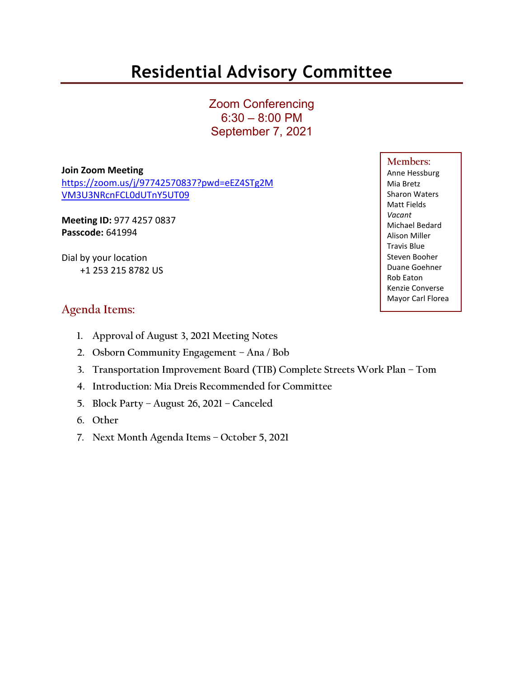# **Residential Advisory Committee**

Zoom Conferencing 6:30 – 8:00 PM September 7, 2021

**Join Zoom Meeting**

[https://zoom.us/j/97742570837?pwd=eEZ4STg2M](https://zoom.us/j/97742570837?pwd=eEZ4STg2MVM3U3NRcnFCL0dUTnY5UT09) [VM3U3NRcnFCL0dUTnY5UT09](https://zoom.us/j/97742570837?pwd=eEZ4STg2MVM3U3NRcnFCL0dUTnY5UT09)

**Meeting ID:** 977 4257 0837 **Passcode:** 641994

Dial by your location +1 253 215 8782 US

# **Agenda Items:**

- **1. Approval of August 3, 2021 Meeting Notes**
- **2. Osborn Community Engagement – Ana / Bob**
- **3. Transportation Improvement Board (TIB) Complete Streets Work Plan – Tom**
- **4. Introduction: Mia Dreis Recommended for Committee**
- **5. Block Party – August 26, 2021 – Canceled**
- **6. Other**
- **7. Next Month Agenda Items – October 5, 2021**

## **Members:**

Anne Hessburg Mia Bretz Sharon Waters Matt Fields *Vacant* Michael Bedard Alison Miller Travis Blue Steven Booher Duane Goehner Rob Eaton Kenzie Converse Mayor Carl Florea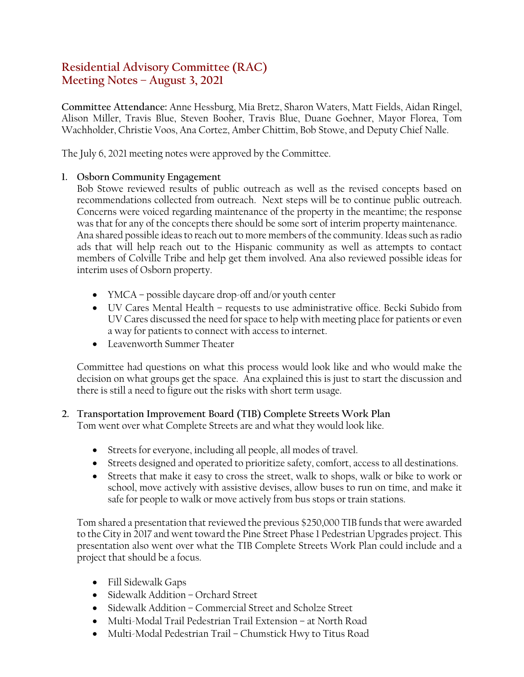# **Residential Advisory Committee (RAC) Meeting Notes – August 3, 2021**

**Committee Attendance:** Anne Hessburg, Mia Bretz, Sharon Waters, Matt Fields, Aidan Ringel, Alison Miller, Travis Blue, Steven Booher, Travis Blue, Duane Goehner, Mayor Florea, Tom Wachholder, Christie Voos, Ana Cortez, Amber Chittim, Bob Stowe, and Deputy Chief Nalle.

The July 6, 2021 meeting notes were approved by the Committee.

#### **1. Osborn Community Engagement**

Bob Stowe reviewed results of public outreach as well as the revised concepts based on recommendations collected from outreach. Next steps will be to continue public outreach. Concerns were voiced regarding maintenance of the property in the meantime; the response was that for any of the concepts there should be some sort of interim property maintenance. Ana shared possible ideas to reach out to more members of the community. Ideas such as radio ads that will help reach out to the Hispanic community as well as attempts to contact members of Colville Tribe and help get them involved. Ana also reviewed possible ideas for interim uses of Osborn property.

- YMCA possible daycare drop-off and/or youth center
- UV Cares Mental Health requests to use administrative office. Becki Subido from UV Cares discussed the need for space to help with meeting place for patients or even a way for patients to connect with access to internet.
- Leavenworth Summer Theater

Committee had questions on what this process would look like and who would make the decision on what groups get the space. Ana explained this is just to start the discussion and there is still a need to figure out the risks with short term usage.

### **2. Transportation Improvement Board (TIB) Complete Streets Work Plan**

Tom went over what Complete Streets are and what they would look like.

- Streets for everyone, including all people, all modes of travel.
- Streets designed and operated to prioritize safety, comfort, access to all destinations.
- Streets that make it easy to cross the street, walk to shops, walk or bike to work or school, move actively with assistive devises, allow buses to run on time, and make it safe for people to walk or move actively from bus stops or train stations.

Tom shared a presentation that reviewed the previous \$250,000 TIB funds that were awarded to the City in 2017 and went toward the Pine Street Phase 1 Pedestrian Upgrades project. This presentation also went over what the TIB Complete Streets Work Plan could include and a project that should be a focus.

- Fill Sidewalk Gaps
- Sidewalk Addition Orchard Street
- Sidewalk Addition Commercial Street and Scholze Street
- Multi-Modal Trail Pedestrian Trail Extension at North Road
- Multi-Modal Pedestrian Trail Chumstick Hwy to Titus Road